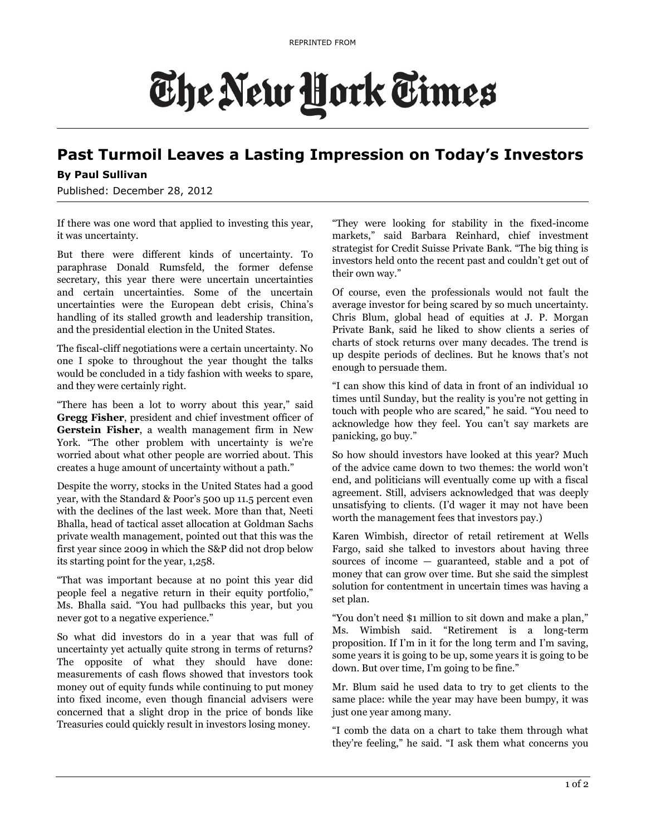## The New York Times

## **Past Turmoil Leaves a Lasting Impression on Today's Investors**

## **By Paul Sullivan**

Published: December 28, 2012

If there was one word that applied to investing this year, it was uncertainty.

But there were different kinds of uncertainty. To paraphrase Donald Rumsfeld, the former defense secretary, this year there were uncertain uncertainties and certain uncertainties. Some of the uncertain uncertainties were the European debt crisis, China's handling of its stalled growth and leadership transition, and the presidential election in the United States.

The fiscal-cliff negotiations were a certain uncertainty. No one I spoke to throughout the year thought the talks would be concluded in a tidy fashion with weeks to spare, and they were certainly right.

"There has been a lot to worry about this year," said **Gregg Fisher**, president and chief investment officer of **Gerstein Fisher**, a wealth management firm in New York. "The other problem with uncertainty is we're worried about what other people are worried about. This creates a huge amount of uncertainty without a path."

Despite the worry, stocks in the United States had a good year, with the Standard & Poor's 500 up 11.5 percent even with the declines of the last week. More than that, Neeti Bhalla, head of tactical asset allocation at Goldman Sachs private wealth management, pointed out that this was the first year since 2009 in which the S&P did not drop below its starting point for the year, 1,258.

"That was important because at no point this year did people feel a negative return in their equity portfolio," Ms. Bhalla said. "You had pullbacks this year, but you never got to a negative experience."

So what did investors do in a year that was full of uncertainty yet actually quite strong in terms of returns? The opposite of what they should have done: measurements of cash flows showed that investors took money out of equity funds while continuing to put money into fixed income, even though financial advisers were concerned that a slight drop in the price of bonds like Treasuries could quickly result in investors losing money.

"They were looking for stability in the fixed-income markets," said Barbara Reinhard, chief investment strategist for Credit Suisse Private Bank. "The big thing is investors held onto the recent past and couldn't get out of their own way."

Of course, even the professionals would not fault the average investor for being scared by so much uncertainty. Chris Blum, global head of equities at J. P. Morgan Private Bank, said he liked to show clients a series of charts of stock returns over many decades. The trend is up despite periods of declines. But he knows that's not enough to persuade them.

"I can show this kind of data in front of an individual 10 times until Sunday, but the reality is you're not getting in touch with people who are scared," he said. "You need to acknowledge how they feel. You can't say markets are panicking, go buy."

So how should investors have looked at this year? Much of the advice came down to two themes: the world won't end, and politicians will eventually come up with a fiscal agreement. Still, advisers acknowledged that was deeply unsatisfying to clients. (I'd wager it may not have been worth the management fees that investors pay.)

Karen Wimbish, director of retail retirement at Wells Fargo, said she talked to investors about having three sources of income — guaranteed, stable and a pot of money that can grow over time. But she said the simplest solution for contentment in uncertain times was having a set plan.

"You don't need \$1 million to sit down and make a plan," Ms. Wimbish said. "Retirement is a long-term proposition. If I'm in it for the long term and I'm saving, some years it is going to be up, some years it is going to be down. But over time, I'm going to be fine."

Mr. Blum said he used data to try to get clients to the same place: while the year may have been bumpy, it was just one year among many.

"I comb the data on a chart to take them through what they're feeling," he said. "I ask them what concerns you